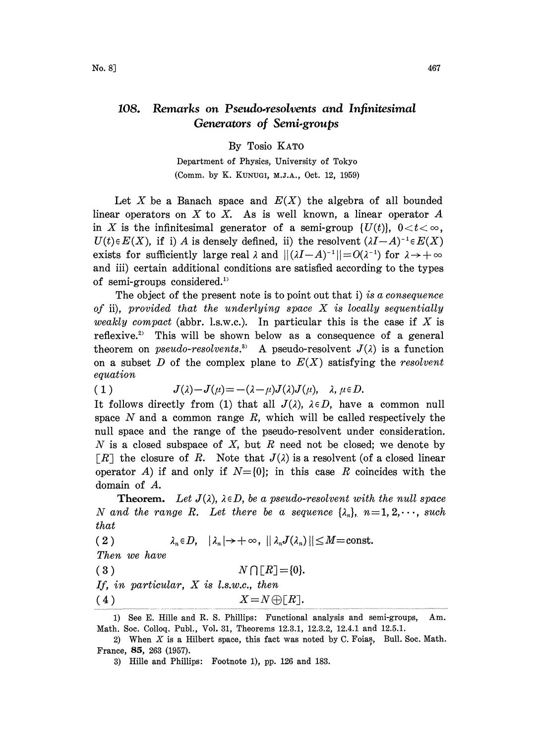## 108. Remarks on Pseudo.resolvents and Infinitesimal Generators of Semi.groups

By Tosio KATO

Department of Physics, University of Tokyo (Comm. by K. KUNUGI, M.J.A., Oct. 12, 1959)

Let X be a Banach space and  $E(X)$  the algebra of all bounded linear operators on  $X$  to  $X$ . As is well known, a linear operator  $A$ in X is the infinitesimal generator of a semi-group  $\{U(t)\}\,$ ,  $0 < t < \infty$ ,  $U(t) \in E(X)$ , if i) A is densely defined, ii) the resolvent  $(\lambda I-A)^{-1} \in E(X)$ exists for sufficiently large real  $\lambda$  and  $||(\lambda I-A)^{-1}||=O(\lambda^{-1})$  for  $\lambda \to +\infty$ and iii) certain additional conditions are satisfied according to the types of semi-groups considered.<sup>1)</sup>

The object of the present note is to point out that i) is a consequence of ii), provided that the underlying space  $X$  is locally sequentially weakly compact (abbr. l.s.w.c.). In particular this is the case if  $X$  is reflexive.<sup>2</sup> This will be shown below as a consequence of a general theorem on *pseudo-resolvents*.<sup>3)</sup> A pseudo-resolvent  $J(\lambda)$  is a function on a subset D of the complex plane to  $E(X)$  satisfying the resolvent equation

$$
(1) \tJ(\lambda)-J(\mu)=- (\lambda-\mu)J(\lambda)J(\mu), \quad \lambda, \mu \in D.
$$

It follows directly from (1) that all  $J(\lambda)$ ,  $\lambda \in D$ , have a common null space  $N$  and a common range  $R$ , which will be called respectively the null space and the range of the pseudo-resolvent under consideration. N is a closed subspace of X, but R need not be closed; we denote by  $\lceil R \rceil$  the closure of R. Note that  $J(\lambda)$  is a resolvent (of a closed linear operator A) if and only if  $N=[0]$ ; in this case R coincides with the domain of A.

**Theorem.** Let  $J(\lambda)$ ,  $\lambda \in D$ , be a pseudo-resolvent with the null space N and the range R. Let there be a sequence  $\{\lambda_n\}, n=1, 2, \dots$ , such that

(2) 
$$
\lambda_n \in D, \quad |\lambda_n| \to +\infty, \quad ||\lambda_n J(\lambda_n)|| \leq M = \text{const.}
$$

Then we have

$$
3) \t N \cap [R] = \{0\}.
$$

If, in particular,  $X$  is  $l.s.w.c.,$  then

(4)  $X = N \oplus [R].$ 

<sup>1)</sup> See E. Hille and R. S. Phillips: Functional analysis and semi-groups, Am. Math. Soc. Colloq. Publ., Vol. 31, Theorems 12.3.1, 12.3.2, 12.4.1 and 12.5.1.

<sup>2)</sup> When  $X$  is a Hilbert space, this fact was noted by C. Foias, Bull. Soc. Math. France, 85, 263 (1957).

<sup>3)</sup> Hille and Phillips: Footnote 1), pp. 126 and 183.